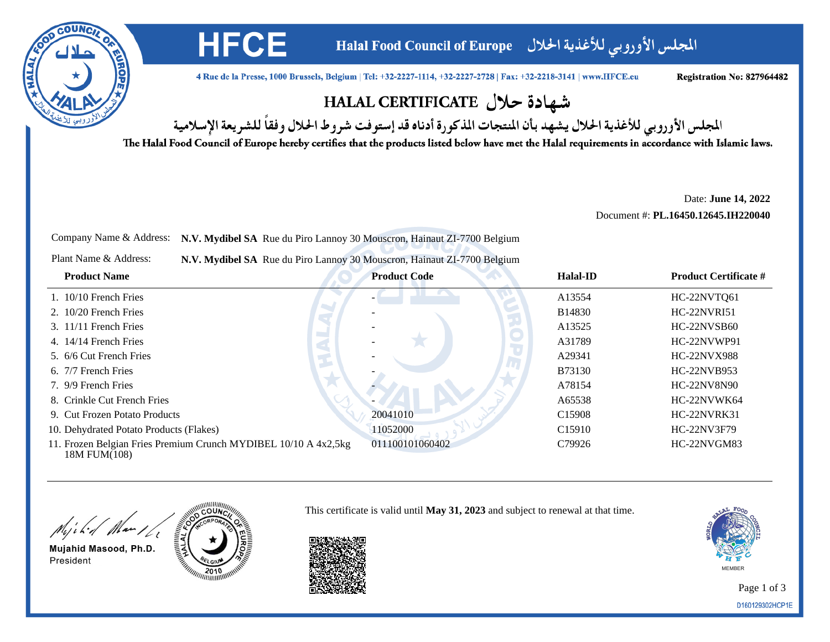

المجلس الأوروبي للأغذية الحلال Halal Food Council of Europe

4 Rue de la Presse, 1000 Brussels, Belgium | Tel: +32-2227-1114, +32-2227-2728 | Fax: +32-2218-3141 | www.HFCE.eu

Registration No: 827964482

## شهادة حلال HALAL CERTIFICATE

المجلس الأوروبي للأغذية الحلال يشهد بأن المنتجات المذكورة أدناه قد إستوفت شروط الحلال وفقاً للشريعة الإسلامية

The Halal Food Council of Europe hereby certifies that the products listed below have met the Halal requirements in accordance with Islamic laws.

Date: **June 14, 2022**

Document #: **PL.16450.12645.IH220040**

Company Name & Address: **N.V. Mydibel SA** Rue du Piro Lannoy 30 Mouscron, Hainaut ZI-7700 Belgium

**HFCE** 

Plant Name & Address:**N.V. Mydibel SA** Rue du Piro Lannoy 30 Mouscron, Hainaut ZI-7700 Belgium

| <b>Product Name</b>                                                             | <b>Product Code</b> | Halal-ID           | <b>Product Certificate #</b> |
|---------------------------------------------------------------------------------|---------------------|--------------------|------------------------------|
| $1.10/10$ French Fries                                                          |                     | A13554             | HC-22NVTQ61                  |
| $2.10/20$ French Fries                                                          |                     | B14830             | <b>HC-22NVRI51</b>           |
| $3.11/11$ French Fries                                                          |                     | A13525             | HC-22NVSB60                  |
| 4. 14/14 French Fries                                                           |                     | A31789             | HC-22NVWP91                  |
| 5. 6/6 Cut French Fries                                                         |                     | A29341             | <b>HC-22NVX988</b>           |
| 6. 7/7 French Fries                                                             |                     | <b>B73130</b>      | HC-22NVB953                  |
| 7. 9/9 French Fries                                                             |                     | A78154             | HC-22NV8N90                  |
| 8. Crinkle Cut French Fries                                                     |                     | A65538             | HC-22NVWK64                  |
| 9. Cut Frozen Potato Products                                                   | 20041010            | C <sub>15908</sub> | HC-22NVRK31                  |
| 10. Dehydrated Potato Products (Flakes)                                         | 11052000            | C <sub>15910</sub> | HC-22NV3F79                  |
| 11. Frozen Belgian Fries Premium Crunch MYDIBEL 10/10 A 4x2,5kg<br>18M FUM(108) | 011100101060402     | C79926             | HC-22NVGM83                  |



Mujahid Masood, Ph.D. President



This certificate is valid until **May 31, 2023** and subject to renewal at that time.



Page 1 of 3D160129302HCP1E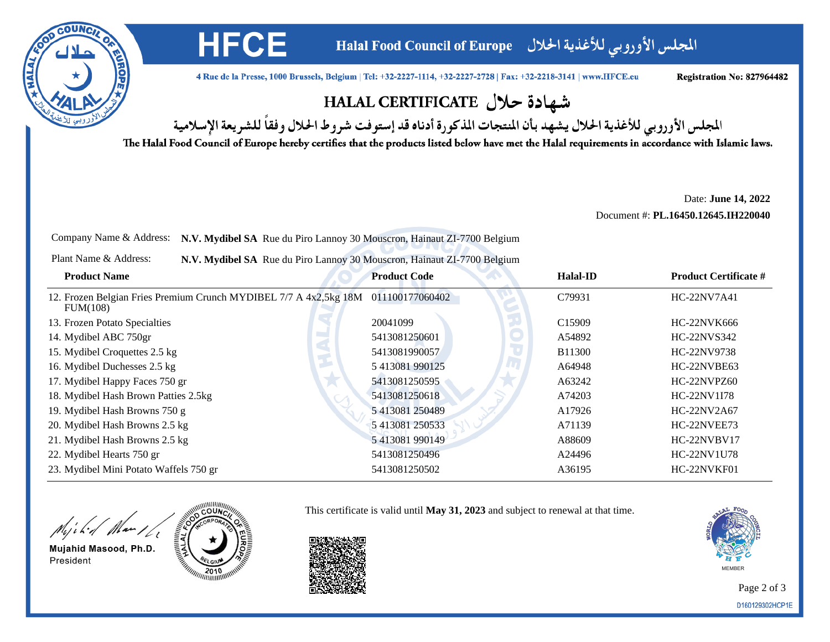

المجلس الأوروبي للأغذية الحلال Halal Food Council of Europe

4 Rue de la Presse, 1000 Brussels, Belgium | Tel: +32-2227-1114, +32-2227-2728 | Fax: +32-2218-3141 | www.HFCE.eu

Registration No: 827964482

## شهادة حلال HALAL CERTIFICATE

المجلس الأوروبي للأغذية الحلال يشهد بأن المنتجات المذكورة أدناه قد إستوفت شروط الحلال وفقاً للشريعة الإسلامية

The Halal Food Council of Europe hereby certifies that the products listed below have met the Halal requirements in accordance with Islamic laws.

Date: **June 14, 2022**

Document #: **PL.16450.12645.IH220040**

Company Name & Address: **N.V. Mydibel SA** Rue du Piro Lannoy 30 Mouscron, Hainaut ZI-7700 Belgium

**HFCE** 

Plant Name & Address:**N.V. Mydibel SA** Rue du Piro Lannoy 30 Mouscron, Hainaut ZI-7700 Belgium

| <b>Product Name</b>                                                                           | <b>Product Code</b> | <b>Halal-ID</b>    | <b>Product Certificate #</b> |
|-----------------------------------------------------------------------------------------------|---------------------|--------------------|------------------------------|
| 12. Frozen Belgian Fries Premium Crunch MYDIBEL 7/7 A 4x2,5kg 18M 011100177060402<br>FUM(108) |                     | C79931             | <b>HC-22NV7A41</b>           |
| 13. Frozen Potato Specialties                                                                 | 20041099            | C <sub>15909</sub> | HC-22NVK666                  |
| 14. Mydibel ABC 750gr                                                                         | 5413081250601       | A54892             | HC-22NVS342                  |
| 15. Mydibel Croquettes 2.5 kg                                                                 | 5413081990057       | <b>B11300</b>      | HC-22NV9738                  |
| 16. Mydibel Duchesses 2.5 kg                                                                  | 5 413081 990125     | A64948             | HC-22NVBE63                  |
| 17. Mydibel Happy Faces 750 gr                                                                | 5413081250595       | A63242             | HC-22NVPZ60                  |
| 18. Mydibel Hash Brown Patties 2.5kg                                                          | 5413081250618       | A74203             | HC-22NV1I78                  |
| 19. Mydibel Hash Browns 750 g                                                                 | 5 413081 250489     | A17926             | HC-22NV2A67                  |
| 20. Mydibel Hash Browns 2.5 kg                                                                | 5 413081 250533     | A71139             | HC-22NVEE73                  |
| 21. Mydibel Hash Browns 2.5 kg                                                                | 5 413081 990149     | A88609             | HC-22NVBV17                  |
| 22. Mydibel Hearts 750 gr                                                                     | 5413081250496       | A24496             | HC-22NV1U78                  |
| 23. Mydibel Mini Potato Waffels 750 gr                                                        | 5413081250502       | A36195             | HC-22NVKF01                  |

Might Man 16

Mujahid Masood, Ph.D. President





This certificate is valid until **May 31, 2023** and subject to renewal at that time.



Page 2 of 3D160129302HCP1E